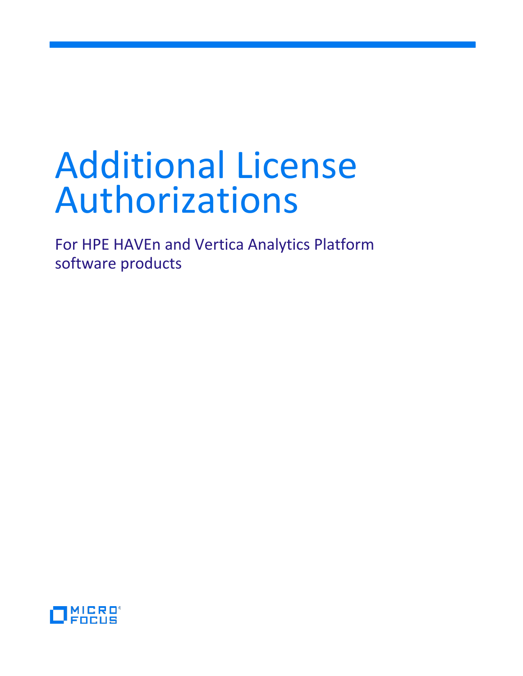# Additional License Authorizations

For HPE HAVEn and Vertica Analytics Platform software products

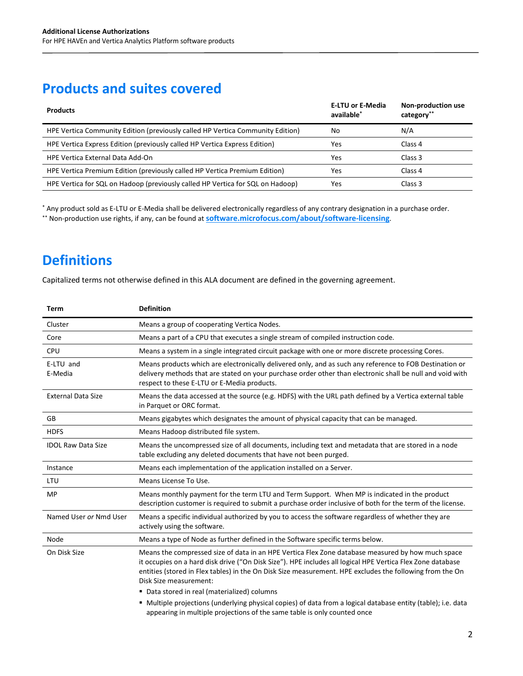## **Products and suites covered**

| <b>Products</b>                                                                | <b>E-LTU or E-Media</b><br>available <sup>*</sup> | Non-production use<br>category** |
|--------------------------------------------------------------------------------|---------------------------------------------------|----------------------------------|
| HPE Vertica Community Edition (previously called HP Vertica Community Edition) | No                                                | N/A                              |
| HPE Vertica Express Edition (previously called HP Vertica Express Edition)     | Yes                                               | Class 4                          |
| <b>HPE Vertica External Data Add-On</b>                                        | Yes                                               | Class 3                          |
| HPE Vertica Premium Edition (previously called HP Vertica Premium Edition)     | Yes                                               | Class 4                          |
| HPE Vertica for SQL on Hadoop (previously called HP Vertica for SQL on Hadoop) | Yes                                               | Class 3                          |

\* Any product sold as E-LTU or E-Media shall be delivered electronically regardless of any contrary designation in a purchase order. \*\* Non-production use rights, if any, can be found at **[software.microfocus.com/about/software-licensing](https://software.microfocus.com/about/software-licensing)**.

# **Definitions**

Capitalized terms not otherwise defined in this ALA document are defined in the governing agreement.

| <b>Term</b>               | <b>Definition</b>                                                                                                                                                                                                                                                                                                                                     |
|---------------------------|-------------------------------------------------------------------------------------------------------------------------------------------------------------------------------------------------------------------------------------------------------------------------------------------------------------------------------------------------------|
| Cluster                   | Means a group of cooperating Vertica Nodes.                                                                                                                                                                                                                                                                                                           |
| Core                      | Means a part of a CPU that executes a single stream of compiled instruction code.                                                                                                                                                                                                                                                                     |
| CPU                       | Means a system in a single integrated circuit package with one or more discrete processing Cores.                                                                                                                                                                                                                                                     |
| E-LTU and<br>E-Media      | Means products which are electronically delivered only, and as such any reference to FOB Destination or<br>delivery methods that are stated on your purchase order other than electronic shall be null and void with<br>respect to these E-LTU or E-Media products.                                                                                   |
| <b>External Data Size</b> | Means the data accessed at the source (e.g. HDFS) with the URL path defined by a Vertica external table<br>in Parquet or ORC format.                                                                                                                                                                                                                  |
| GB                        | Means gigabytes which designates the amount of physical capacity that can be managed.                                                                                                                                                                                                                                                                 |
| <b>HDFS</b>               | Means Hadoop distributed file system.                                                                                                                                                                                                                                                                                                                 |
| <b>IDOL Raw Data Size</b> | Means the uncompressed size of all documents, including text and metadata that are stored in a node<br>table excluding any deleted documents that have not been purged.                                                                                                                                                                               |
| Instance                  | Means each implementation of the application installed on a Server.                                                                                                                                                                                                                                                                                   |
| LTU                       | Means License To Use.                                                                                                                                                                                                                                                                                                                                 |
| <b>MP</b>                 | Means monthly payment for the term LTU and Term Support. When MP is indicated in the product<br>description customer is required to submit a purchase order inclusive of both for the term of the license.                                                                                                                                            |
| Named User or Nmd User    | Means a specific individual authorized by you to access the software regardless of whether they are<br>actively using the software.                                                                                                                                                                                                                   |
| Node                      | Means a type of Node as further defined in the Software specific terms below.                                                                                                                                                                                                                                                                         |
| On Disk Size              | Means the compressed size of data in an HPE Vertica Flex Zone database measured by how much space<br>it occupies on a hard disk drive ("On Disk Size"). HPE includes all logical HPE Vertica Flex Zone database<br>entities (stored in Flex tables) in the On Disk Size measurement. HPE excludes the following from the On<br>Disk Size measurement: |
|                           | ■ Data stored in real (materialized) columns                                                                                                                                                                                                                                                                                                          |
|                           | • Multiple projections (underlying physical copies) of data from a logical database entity (table); i.e. data<br>appearing in multiple projections of the same table is only counted once                                                                                                                                                             |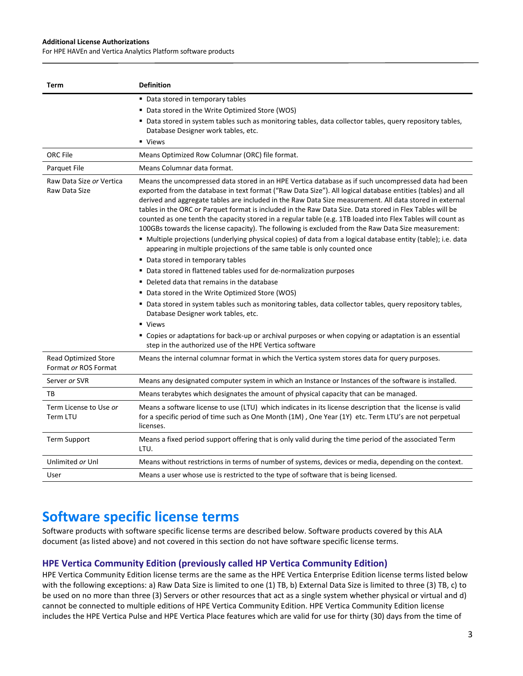#### **Additional License Authorizations**

For HPE HAVEn and Vertica Analytics Platform software products

| Term                                      | <b>Definition</b>                                                                                                                                                                                                                                                                                                                                                                                                                                                                                                                                                                                                                                                                                                                                                                                                                                                                                                                                                                                                                                                                                                                                                                                                                                                                                                                                     |
|-------------------------------------------|-------------------------------------------------------------------------------------------------------------------------------------------------------------------------------------------------------------------------------------------------------------------------------------------------------------------------------------------------------------------------------------------------------------------------------------------------------------------------------------------------------------------------------------------------------------------------------------------------------------------------------------------------------------------------------------------------------------------------------------------------------------------------------------------------------------------------------------------------------------------------------------------------------------------------------------------------------------------------------------------------------------------------------------------------------------------------------------------------------------------------------------------------------------------------------------------------------------------------------------------------------------------------------------------------------------------------------------------------------|
|                                           | • Data stored in temporary tables                                                                                                                                                                                                                                                                                                                                                                                                                                                                                                                                                                                                                                                                                                                                                                                                                                                                                                                                                                                                                                                                                                                                                                                                                                                                                                                     |
|                                           | • Data stored in the Write Optimized Store (WOS)                                                                                                                                                                                                                                                                                                                                                                                                                                                                                                                                                                                                                                                                                                                                                                                                                                                                                                                                                                                                                                                                                                                                                                                                                                                                                                      |
|                                           | " Data stored in system tables such as monitoring tables, data collector tables, query repository tables,<br>Database Designer work tables, etc.                                                                                                                                                                                                                                                                                                                                                                                                                                                                                                                                                                                                                                                                                                                                                                                                                                                                                                                                                                                                                                                                                                                                                                                                      |
|                                           | • Views                                                                                                                                                                                                                                                                                                                                                                                                                                                                                                                                                                                                                                                                                                                                                                                                                                                                                                                                                                                                                                                                                                                                                                                                                                                                                                                                               |
| <b>ORC</b> File                           | Means Optimized Row Columnar (ORC) file format.                                                                                                                                                                                                                                                                                                                                                                                                                                                                                                                                                                                                                                                                                                                                                                                                                                                                                                                                                                                                                                                                                                                                                                                                                                                                                                       |
| <b>Parquet File</b>                       | Means Columnar data format.                                                                                                                                                                                                                                                                                                                                                                                                                                                                                                                                                                                                                                                                                                                                                                                                                                                                                                                                                                                                                                                                                                                                                                                                                                                                                                                           |
| Raw Data Size or Vertica<br>Raw Data Size | Means the uncompressed data stored in an HPE Vertica database as if such uncompressed data had been<br>exported from the database in text format ("Raw Data Size"). All logical database entities (tables) and all<br>derived and aggregate tables are included in the Raw Data Size measurement. All data stored in external<br>tables in the ORC or Parquet format is included in the Raw Data Size. Data stored in Flex Tables will be<br>counted as one tenth the capacity stored in a regular table (e.g. 1TB loaded into Flex Tables will count as<br>100GBs towards the license capacity). The following is excluded from the Raw Data Size measurement:<br>" Multiple projections (underlying physical copies) of data from a logical database entity (table); i.e. data<br>appearing in multiple projections of the same table is only counted once<br>• Data stored in temporary tables<br>• Data stored in flattened tables used for de-normalization purposes<br>■ Deleted data that remains in the database<br>• Data stored in the Write Optimized Store (WOS)<br>" Data stored in system tables such as monitoring tables, data collector tables, query repository tables,<br>Database Designer work tables, etc.<br>• Views<br>" Copies or adaptations for back-up or archival purposes or when copying or adaptation is an essential |
| <b>Read Optimized Store</b>               | step in the authorized use of the HPE Vertica software<br>Means the internal columnar format in which the Vertica system stores data for query purposes.                                                                                                                                                                                                                                                                                                                                                                                                                                                                                                                                                                                                                                                                                                                                                                                                                                                                                                                                                                                                                                                                                                                                                                                              |
| Format or ROS Format                      |                                                                                                                                                                                                                                                                                                                                                                                                                                                                                                                                                                                                                                                                                                                                                                                                                                                                                                                                                                                                                                                                                                                                                                                                                                                                                                                                                       |
| Server or SVR                             | Means any designated computer system in which an Instance or Instances of the software is installed.                                                                                                                                                                                                                                                                                                                                                                                                                                                                                                                                                                                                                                                                                                                                                                                                                                                                                                                                                                                                                                                                                                                                                                                                                                                  |
| TB                                        | Means terabytes which designates the amount of physical capacity that can be managed.                                                                                                                                                                                                                                                                                                                                                                                                                                                                                                                                                                                                                                                                                                                                                                                                                                                                                                                                                                                                                                                                                                                                                                                                                                                                 |
| Term License to Use or<br>Term LTU        | Means a software license to use (LTU) which indicates in its license description that the license is valid<br>for a specific period of time such as One Month (1M), One Year (1Y) etc. Term LTU's are not perpetual<br>licenses.                                                                                                                                                                                                                                                                                                                                                                                                                                                                                                                                                                                                                                                                                                                                                                                                                                                                                                                                                                                                                                                                                                                      |
| <b>Term Support</b>                       | Means a fixed period support offering that is only valid during the time period of the associated Term<br>LTU.                                                                                                                                                                                                                                                                                                                                                                                                                                                                                                                                                                                                                                                                                                                                                                                                                                                                                                                                                                                                                                                                                                                                                                                                                                        |
| Unlimited or Unl                          | Means without restrictions in terms of number of systems, devices or media, depending on the context.                                                                                                                                                                                                                                                                                                                                                                                                                                                                                                                                                                                                                                                                                                                                                                                                                                                                                                                                                                                                                                                                                                                                                                                                                                                 |
| User                                      | Means a user whose use is restricted to the type of software that is being licensed.                                                                                                                                                                                                                                                                                                                                                                                                                                                                                                                                                                                                                                                                                                                                                                                                                                                                                                                                                                                                                                                                                                                                                                                                                                                                  |

## **Software specific license terms**

Software products with software specific license terms are described below. Software products covered by this ALA document (as listed above) and not covered in this section do not have software specific license terms.

### **HPE Vertica Community Edition (previously called HP Vertica Community Edition)**

HPE Vertica Community Edition license terms are the same as the HPE Vertica Enterprise Edition license terms listed below with the following exceptions: a) Raw Data Size is limited to one (1) TB, b) External Data Size is limited to three (3) TB, c) to be used on no more than three (3) Servers or other resources that act as a single system whether physical or virtual and d) cannot be connected to multiple editions of HPE Vertica Community Edition. HPE Vertica Community Edition license includes the HPE Vertica Pulse and HPE Vertica Place features which are valid for use for thirty (30) days from the time of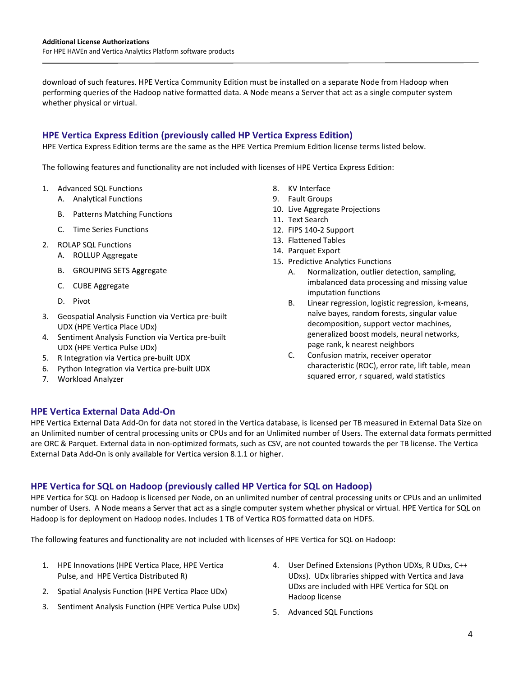download of such features. HPE Vertica Community Edition must be installed on a separate Node from Hadoop when performing queries of the Hadoop native formatted data. A Node means a Server that act as a single computer system whether physical or virtual.

## **HPE Vertica Express Edition (previously called HP Vertica Express Edition)**

HPE Vertica Express Edition terms are the same as the HPE Vertica Premium Edition license terms listed below.

The following features and functionality are not included with licenses of HPE Vertica Express Edition:

- 1. Advanced SQL Functions
	- A. Analytical Functions
	- B. Patterns Matching Functions
	- C. Time Series Functions
- 2. ROLAP SQL Functions
	- A. ROLLUP Aggregate
	- B. GROUPING SETS Aggregate
	- C. CUBE Aggregate
	- D. Pivot
- 3. Geospatial Analysis Function via Vertica pre-built UDX (HPE Vertica Place UDx)
- 4. Sentiment Analysis Function via Vertica pre-built UDX (HPE Vertica Pulse UDx)
- 5. R Integration via Vertica pre-built UDX
- 6. Python Integration via Vertica pre-built UDX
- 7. Workload Analyzer
- 8. KV Interface
- 9. Fault Groups
- 10. Live Aggregate Projections
- 11. Text Search
- 12. FIPS 140-2 Support
- 13. Flattened Tables
- 14. Parquet Export
- 15. Predictive Analytics Functions
	- A. Normalization, outlier detection, sampling, imbalanced data processing and missing value imputation functions
	- B. Linear regression, logistic regression, k-means, naïve bayes, random forests, singular value decomposition, support vector machines, generalized boost models, neural networks, page rank, k nearest neighbors
	- C. Confusion matrix, receiver operator characteristic (ROC), error rate, lift table, mean squared error, r squared, wald statistics

#### **HPE Vertica External Data Add-On**

HPE Vertica External Data Add-On for data not stored in the Vertica database, is licensed per TB measured in External Data Size on an Unlimited number of central processing units or CPUs and for an Unlimited number of Users. The external data formats permitted are ORC & Parquet. External data in non-optimized formats, such as CSV, are not counted towards the per TB license. The Vertica External Data Add-On is only available for Vertica version 8.1.1 or higher.

### **HPE Vertica for SQL on Hadoop (previously called HP Vertica for SQL on Hadoop)**

HPE Vertica for SQL on Hadoop is licensed per Node, on an unlimited number of central processing units or CPUs and an unlimited number of Users. A Node means a Server that act as a single computer system whether physical or virtual. HPE Vertica for SQL on Hadoop is for deployment on Hadoop nodes. Includes 1 TB of Vertica ROS formatted data on HDFS.

The following features and functionality are not included with licenses of HPE Vertica for SQL on Hadoop:

- 1. HPE Innovations (HPE Vertica Place, HPE Vertica Pulse, and HPE Vertica Distributed R)
- 2. Spatial Analysis Function (HPE Vertica Place UDx)
- 3. Sentiment Analysis Function (HPE Vertica Pulse UDx)
- 4. User Defined Extensions (Python UDXs, R UDxs, C++ UDxs). UDx libraries shipped with Vertica and Java UDxs are included with HPE Vertica for SQL on Hadoop license
- 5. Advanced SQL Functions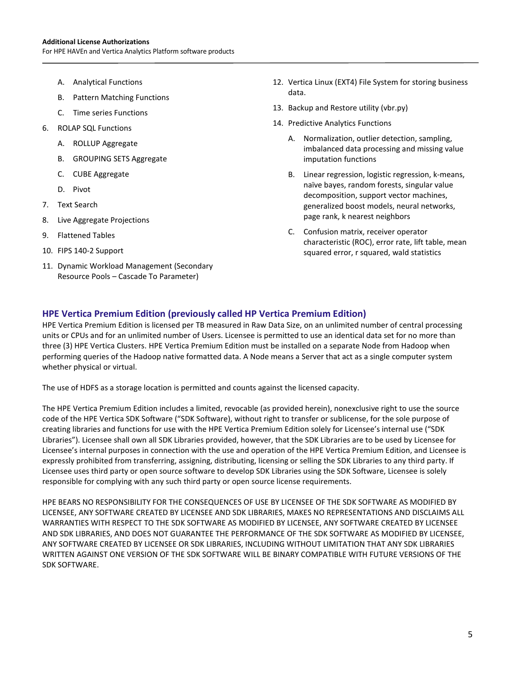- A. Analytical Functions
- B. Pattern Matching Functions
- C. Time series Functions
- 6. ROLAP SQL Functions
	- A. ROLLUP Aggregate
	- B. GROUPING SETS Aggregate
	- C. CUBE Aggregate
	- D. Pivot
- 7. Text Search
- 8. Live Aggregate Projections
- 9. Flattened Tables
- 10. FIPS 140-2 Support
- 11. Dynamic Workload Management (Secondary Resource Pools – Cascade To Parameter)
- 12. Vertica Linux (EXT4) File System for storing business data.
- 13. Backup and Restore utility (vbr.py)
- 14. Predictive Analytics Functions
	- A. Normalization, outlier detection, sampling, imbalanced data processing and missing value imputation functions
	- B. Linear regression, logistic regression, k-means, naïve bayes, random forests, singular value decomposition, support vector machines, generalized boost models, neural networks, page rank, k nearest neighbors
	- C. Confusion matrix, receiver operator characteristic (ROC), error rate, lift table, mean squared error, r squared, wald statistics

#### **HPE Vertica Premium Edition (previously called HP Vertica Premium Edition)**

HPE Vertica Premium Edition is licensed per TB measured in Raw Data Size, on an unlimited number of central processing units or CPUs and for an unlimited number of Users. Licensee is permitted to use an identical data set for no more than three (3) HPE Vertica Clusters. HPE Vertica Premium Edition must be installed on a separate Node from Hadoop when performing queries of the Hadoop native formatted data. A Node means a Server that act as a single computer system whether physical or virtual.

The use of HDFS as a storage location is permitted and counts against the licensed capacity.

The HPE Vertica Premium Edition includes a limited, revocable (as provided herein), nonexclusive right to use the source code of the HPE Vertica SDK Software ("SDK Software), without right to transfer or sublicense, for the sole purpose of creating libraries and functions for use with the HPE Vertica Premium Edition solely for Licensee's internal use ("SDK Libraries"). Licensee shall own all SDK Libraries provided, however, that the SDK Libraries are to be used by Licensee for Licensee's internal purposes in connection with the use and operation of the HPE Vertica Premium Edition, and Licensee is expressly prohibited from transferring, assigning, distributing, licensing or selling the SDK Libraries to any third party. If Licensee uses third party or open source software to develop SDK Libraries using the SDK Software, Licensee is solely responsible for complying with any such third party or open source license requirements.

HPE BEARS NO RESPONSIBILITY FOR THE CONSEQUENCES OF USE BY LICENSEE OF THE SDK SOFTWARE AS MODIFIED BY LICENSEE, ANY SOFTWARE CREATED BY LICENSEE AND SDK LIBRARIES, MAKES NO REPRESENTATIONS AND DISCLAIMS ALL WARRANTIES WITH RESPECT TO THE SDK SOFTWARE AS MODIFIED BY LICENSEE, ANY SOFTWARE CREATED BY LICENSEE AND SDK LIBRARIES, AND DOES NOT GUARANTEE THE PERFORMANCE OF THE SDK SOFTWARE AS MODIFIED BY LICENSEE, ANY SOFTWARE CREATED BY LICENSEE OR SDK LIBRARIES, INCLUDING WITHOUT LIMITATION THAT ANY SDK LIBRARIES WRITTEN AGAINST ONE VERSION OF THE SDK SOFTWARE WILL BE BINARY COMPATIBLE WITH FUTURE VERSIONS OF THE SDK SOFTWARE.